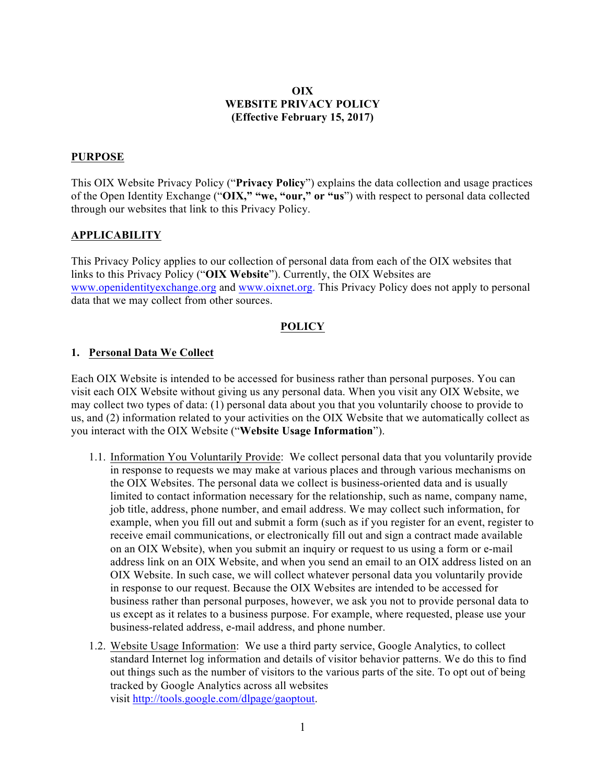### **OIX WEBSITE PRIVACY POLICY (Effective February 15, 2017)**

#### **PURPOSE**

This OIX Website Privacy Policy ("**Privacy Policy**") explains the data collection and usage practices of the Open Identity Exchange ("**OIX," "we, "our," or "us**") with respect to personal data collected through our websites that link to this Privacy Policy.

#### **APPLICABILITY**

This Privacy Policy applies to our collection of personal data from each of the OIX websites that links to this Privacy Policy ("**OIX Website**"). Currently, the OIX Websites are www.openidentityexchange.org and www.oixnet.org. This Privacy Policy does not apply to personal data that we may collect from other sources.

### **POLICY**

### **1. Personal Data We Collect**

Each OIX Website is intended to be accessed for business rather than personal purposes. You can visit each OIX Website without giving us any personal data. When you visit any OIX Website, we may collect two types of data: (1) personal data about you that you voluntarily choose to provide to us, and (2) information related to your activities on the OIX Website that we automatically collect as you interact with the OIX Website ("**Website Usage Information**").

- 1.1. Information You Voluntarily Provide: We collect personal data that you voluntarily provide in response to requests we may make at various places and through various mechanisms on the OIX Websites. The personal data we collect is business-oriented data and is usually limited to contact information necessary for the relationship, such as name, company name, job title, address, phone number, and email address. We may collect such information, for example, when you fill out and submit a form (such as if you register for an event, register to receive email communications, or electronically fill out and sign a contract made available on an OIX Website), when you submit an inquiry or request to us using a form or e-mail address link on an OIX Website, and when you send an email to an OIX address listed on an OIX Website. In such case, we will collect whatever personal data you voluntarily provide in response to our request. Because the OIX Websites are intended to be accessed for business rather than personal purposes, however, we ask you not to provide personal data to us except as it relates to a business purpose. For example, where requested, please use your business-related address, e-mail address, and phone number.
- 1.2. Website Usage Information: We use a third party service, Google Analytics, to collect standard Internet log information and details of visitor behavior patterns. We do this to find out things such as the number of visitors to the various parts of the site. To opt out of being tracked by Google Analytics across all websites visit http://tools.google.com/dlpage/gaoptout.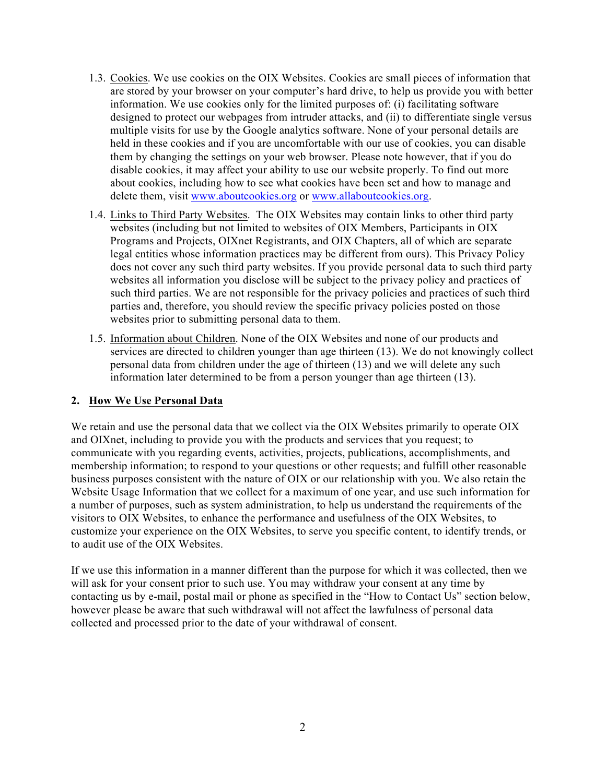- 1.3. Cookies. We use cookies on the OIX Websites. Cookies are small pieces of information that are stored by your browser on your computer's hard drive, to help us provide you with better information. We use cookies only for the limited purposes of: (i) facilitating software designed to protect our webpages from intruder attacks, and (ii) to differentiate single versus multiple visits for use by the Google analytics software. None of your personal details are held in these cookies and if you are uncomfortable with our use of cookies, you can disable them by changing the settings on your web browser. Please note however, that if you do disable cookies, it may affect your ability to use our website properly. To find out more about cookies, including how to see what cookies have been set and how to manage and delete them, visit www.aboutcookies.org or www.allaboutcookies.org.
- 1.4. Links to Third Party Websites. The OIX Websites may contain links to other third party websites (including but not limited to websites of OIX Members, Participants in OIX Programs and Projects, OIXnet Registrants, and OIX Chapters, all of which are separate legal entities whose information practices may be different from ours). This Privacy Policy does not cover any such third party websites. If you provide personal data to such third party websites all information you disclose will be subject to the privacy policy and practices of such third parties. We are not responsible for the privacy policies and practices of such third parties and, therefore, you should review the specific privacy policies posted on those websites prior to submitting personal data to them.
- 1.5. Information about Children. None of the OIX Websites and none of our products and services are directed to children younger than age thirteen (13). We do not knowingly collect personal data from children under the age of thirteen (13) and we will delete any such information later determined to be from a person younger than age thirteen (13).

## **2. How We Use Personal Data**

We retain and use the personal data that we collect via the OIX Websites primarily to operate OIX and OIXnet, including to provide you with the products and services that you request; to communicate with you regarding events, activities, projects, publications, accomplishments, and membership information; to respond to your questions or other requests; and fulfill other reasonable business purposes consistent with the nature of OIX or our relationship with you. We also retain the Website Usage Information that we collect for a maximum of one year, and use such information for a number of purposes, such as system administration, to help us understand the requirements of the visitors to OIX Websites, to enhance the performance and usefulness of the OIX Websites, to customize your experience on the OIX Websites, to serve you specific content, to identify trends, or to audit use of the OIX Websites.

If we use this information in a manner different than the purpose for which it was collected, then we will ask for your consent prior to such use. You may withdraw your consent at any time by contacting us by e-mail, postal mail or phone as specified in the "How to Contact Us" section below, however please be aware that such withdrawal will not affect the lawfulness of personal data collected and processed prior to the date of your withdrawal of consent.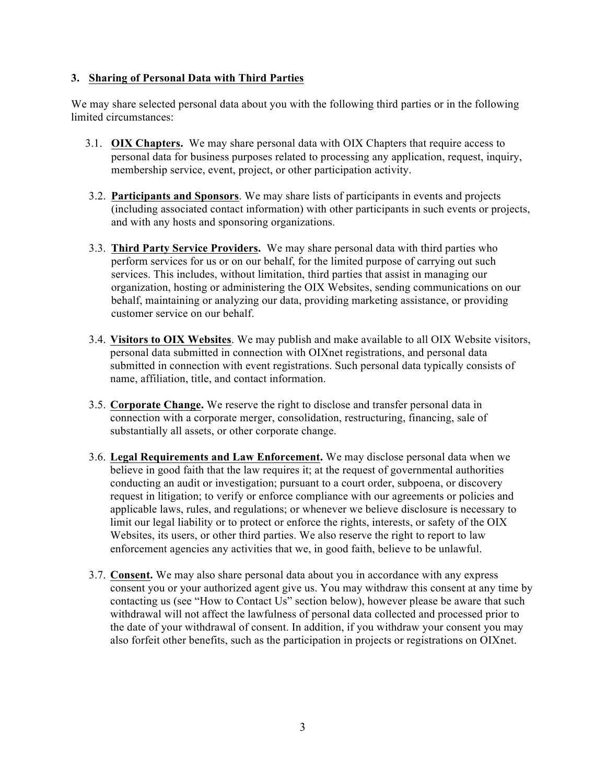### **3. Sharing of Personal Data with Third Parties**

We may share selected personal data about you with the following third parties or in the following limited circumstances:

- 3.1. **OIX Chapters.** We may share personal data with OIX Chapters that require access to personal data for business purposes related to processing any application, request, inquiry, membership service, event, project, or other participation activity.
- 3.2. **Participants and Sponsors**. We may share lists of participants in events and projects (including associated contact information) with other participants in such events or projects, and with any hosts and sponsoring organizations.
- 3.3. **Third Party Service Providers.** We may share personal data with third parties who perform services for us or on our behalf, for the limited purpose of carrying out such services. This includes, without limitation, third parties that assist in managing our organization, hosting or administering the OIX Websites, sending communications on our behalf, maintaining or analyzing our data, providing marketing assistance, or providing customer service on our behalf.
- 3.4. **Visitors to OIX Websites**. We may publish and make available to all OIX Website visitors, personal data submitted in connection with OIXnet registrations, and personal data submitted in connection with event registrations. Such personal data typically consists of name, affiliation, title, and contact information.
- 3.5. **Corporate Change.** We reserve the right to disclose and transfer personal data in connection with a corporate merger, consolidation, restructuring, financing, sale of substantially all assets, or other corporate change.
- 3.6. **Legal Requirements and Law Enforcement.** We may disclose personal data when we believe in good faith that the law requires it; at the request of governmental authorities conducting an audit or investigation; pursuant to a court order, subpoena, or discovery request in litigation; to verify or enforce compliance with our agreements or policies and applicable laws, rules, and regulations; or whenever we believe disclosure is necessary to limit our legal liability or to protect or enforce the rights, interests, or safety of the OIX Websites, its users, or other third parties. We also reserve the right to report to law enforcement agencies any activities that we, in good faith, believe to be unlawful.
- 3.7. **Consent.** We may also share personal data about you in accordance with any express consent you or your authorized agent give us. You may withdraw this consent at any time by contacting us (see "How to Contact Us" section below), however please be aware that such withdrawal will not affect the lawfulness of personal data collected and processed prior to the date of your withdrawal of consent. In addition, if you withdraw your consent you may also forfeit other benefits, such as the participation in projects or registrations on OIXnet.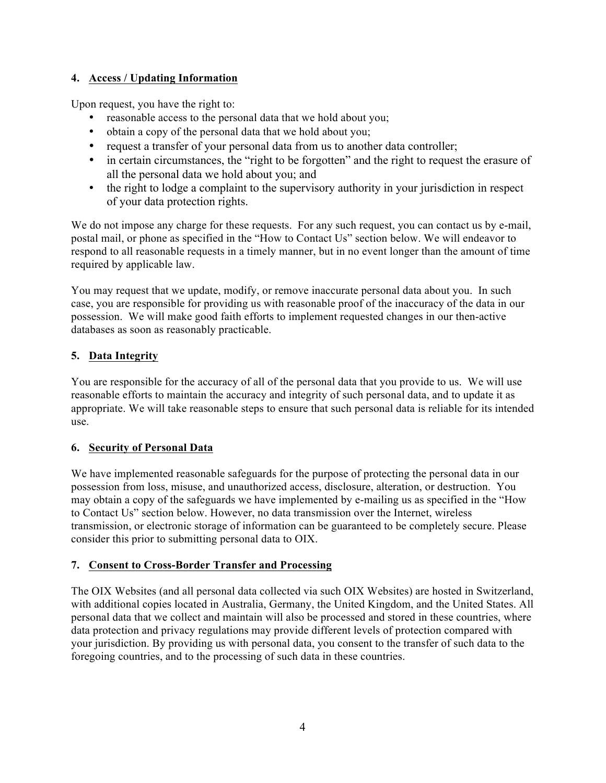# **4. Access / Updating Information**

Upon request, you have the right to:

- reasonable access to the personal data that we hold about you;
- obtain a copy of the personal data that we hold about you;
- request a transfer of your personal data from us to another data controller;
- in certain circumstances, the "right to be forgotten" and the right to request the erasure of all the personal data we hold about you; and
- the right to lodge a complaint to the supervisory authority in your jurisdiction in respect of your data protection rights.

We do not impose any charge for these requests. For any such request, you can contact us by e-mail, postal mail, or phone as specified in the "How to Contact Us" section below. We will endeavor to respond to all reasonable requests in a timely manner, but in no event longer than the amount of time required by applicable law.

You may request that we update, modify, or remove inaccurate personal data about you. In such case, you are responsible for providing us with reasonable proof of the inaccuracy of the data in our possession. We will make good faith efforts to implement requested changes in our then-active databases as soon as reasonably practicable.

# **5. Data Integrity**

You are responsible for the accuracy of all of the personal data that you provide to us. We will use reasonable efforts to maintain the accuracy and integrity of such personal data, and to update it as appropriate. We will take reasonable steps to ensure that such personal data is reliable for its intended use.

## **6. Security of Personal Data**

We have implemented reasonable safeguards for the purpose of protecting the personal data in our possession from loss, misuse, and unauthorized access, disclosure, alteration, or destruction. You may obtain a copy of the safeguards we have implemented by e-mailing us as specified in the "How to Contact Us" section below. However, no data transmission over the Internet, wireless transmission, or electronic storage of information can be guaranteed to be completely secure. Please consider this prior to submitting personal data to OIX.

## **7. Consent to Cross-Border Transfer and Processing**

The OIX Websites (and all personal data collected via such OIX Websites) are hosted in Switzerland, with additional copies located in Australia, Germany, the United Kingdom, and the United States. All personal data that we collect and maintain will also be processed and stored in these countries, where data protection and privacy regulations may provide different levels of protection compared with your jurisdiction. By providing us with personal data, you consent to the transfer of such data to the foregoing countries, and to the processing of such data in these countries.